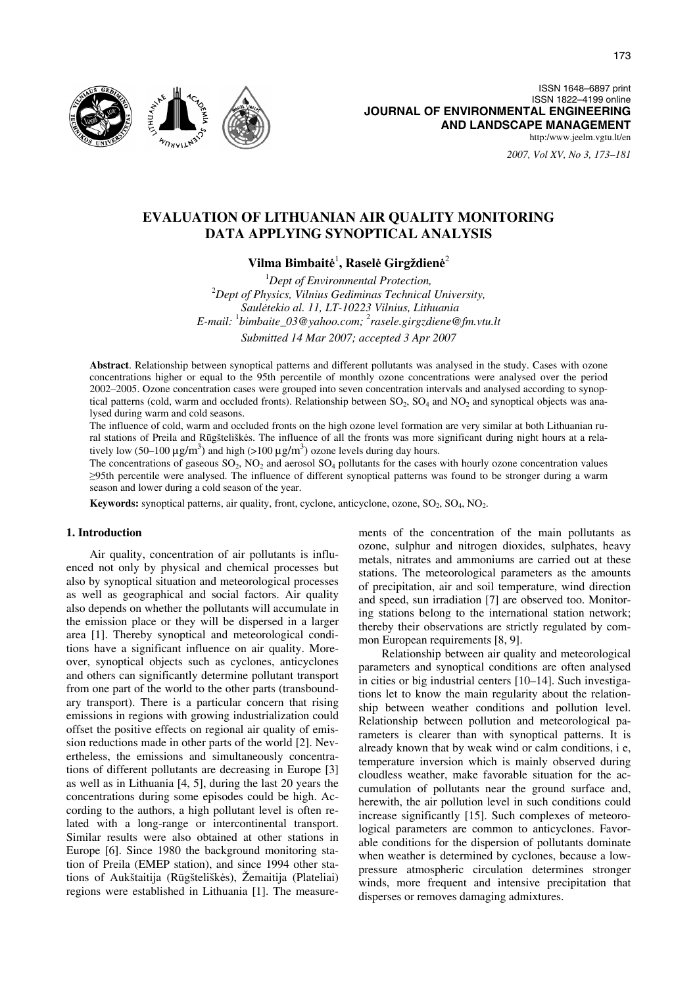

*2007, Vol XV, No 3, 173–181*

# **EVALUATION OF LITHUANIAN AIR QUALITY MONITORING DATA APPLYING SYNOPTICAL ANALYSIS**

# **Vilma Bimbait**ė 1 **, Rasel**ė **Girgždien**ė 2

<sup>1</sup> Dept of Environmental Protection,<sup>2</sup><br><sup>2</sup> Dant of Physics, Vilnius Cedimines Technical *Dept of Physics, Vilnius Gediminas Technical University, Saul*ė*tekio al. 11, LT-10223 Vilnius, Lithuania E-mail:* <sup>1</sup> *bimbaite\_03@yahoo.com;* <sup>2</sup> *rasele.girgzdiene@fm.vtu.lt Submitted 14 Mar 2007; accepted 3 Apr 2007* 

**Abstract**. Relationship between synoptical patterns and different pollutants was analysed in the study. Cases with ozone concentrations higher or equal to the 95th percentile of monthly ozone concentrations were analysed over the period 2002–2005. Ozone concentration cases were grouped into seven concentration intervals and analysed according to synoptical patterns (cold, warm and occluded fronts). Relationship between  $SO_2$ ,  $SO_4$  and  $NO_2$  and synoptical objects was analysed during warm and cold seasons.

The influence of cold, warm and occluded fronts on the high ozone level formation are very similar at both Lithuanian rural stations of Preila and Rūgšteliškės. The influence of all the fronts was more significant during night hours at a relatively low (50–100  $\mu$ g/m<sup>3</sup>) and high (>100  $\mu$ g/m<sup>3</sup>) ozone levels during day hours.

The concentrations of gaseous  $SO_2$ ,  $NO_2$  and aerosol  $SO_4$  pollutants for the cases with hourly ozone concentration values ≥95th percentile were analysed. The influence of different synoptical patterns was found to be stronger during a warm season and lower during a cold season of the year.

**Keywords:** synoptical patterns, air quality, front, cyclone, anticyclone, ozone, SO<sub>2</sub>, SO<sub>4</sub>, NO<sub>2</sub>.

## **1. Introduction**

Air quality, concentration of air pollutants is influenced not only by physical and chemical processes but also by synoptical situation and meteorological processes as well as geographical and social factors. Air quality also depends on whether the pollutants will accumulate in the emission place or they will be dispersed in a larger area [1]. Thereby synoptical and meteorological conditions have a significant influence on air quality. Moreover, synoptical objects such as cyclones, anticyclones and others can significantly determine pollutant transport from one part of the world to the other parts (transboundary transport). There is a particular concern that rising emissions in regions with growing industrialization could offset the positive effects on regional air quality of emission reductions made in other parts of the world [2]. Nevertheless, the emissions and simultaneously concentrations of different pollutants are decreasing in Europe [3] as well as in Lithuania [4, 5], during the last 20 years the concentrations during some episodes could be high. According to the authors, a high pollutant level is often related with a long-range or intercontinental transport. Similar results were also obtained at other stations in Europe [6]. Since 1980 the background monitoring station of Preila (EMEP station), and since 1994 other stations of Aukštaitija (Rūgšteliškės), Žemaitija (Plateliai) regions were established in Lithuania [1]. The measurements of the concentration of the main pollutants as ozone, sulphur and nitrogen dioxides, sulphates, heavy metals, nitrates and ammoniums are carried out at these stations. The meteorological parameters as the amounts of precipitation, air and soil temperature, wind direction and speed, sun irradiation [7] are observed too. Monitoring stations belong to the international station network; thereby their observations are strictly regulated by common European requirements [8, 9].

Relationship between air quality and meteorological parameters and synoptical conditions are often analysed in cities or big industrial centers [10–14]. Such investigations let to know the main regularity about the relationship between weather conditions and pollution level. Relationship between pollution and meteorological parameters is clearer than with synoptical patterns. It is already known that by weak wind or calm conditions, i e, temperature inversion which is mainly observed during cloudless weather, make favorable situation for the accumulation of pollutants near the ground surface and, herewith, the air pollution level in such conditions could increase significantly [15]. Such complexes of meteorological parameters are common to anticyclones. Favorable conditions for the dispersion of pollutants dominate when weather is determined by cyclones, because a lowpressure atmospheric circulation determines stronger winds, more frequent and intensive precipitation that disperses or removes damaging admixtures.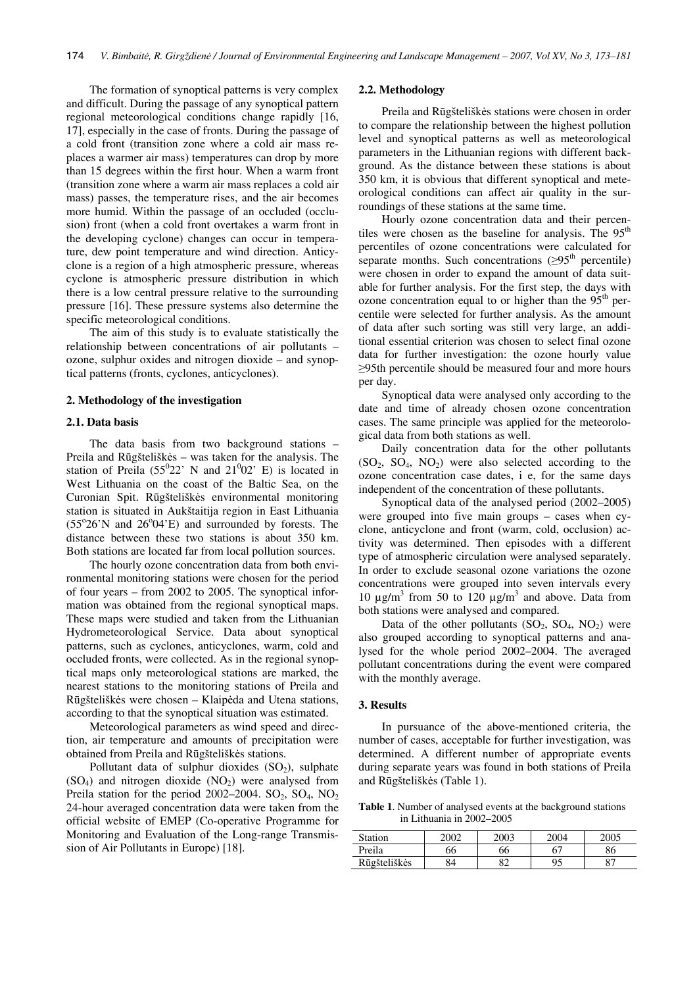The formation of synoptical patterns is very complex and difficult. During the passage of any synoptical pattern regional meteorological conditions change rapidly [16, 17], especially in the case of fronts. During the passage of a cold front (transition zone where a cold air mass replaces a warmer air mass) temperatures can drop by more than 15 degrees within the first hour. When a warm front (transition zone where a warm air mass replaces a cold air mass) passes, the temperature rises, and the air becomes more humid. Within the passage of an occluded (occlusion) front (when a cold front overtakes a warm front in the developing cyclone) changes can occur in temperature, dew point temperature and wind direction. Anticyclone is a region of a high atmospheric pressure, whereas cyclone is atmospheric pressure distribution in which there is a low central pressure relative to the surrounding pressure [16]. These pressure systems also determine the specific meteorological conditions.

The aim of this study is to evaluate statistically the relationship between concentrations of air pollutants – ozone, sulphur oxides and nitrogen dioxide – and synoptical patterns (fronts, cyclones, anticyclones).

#### **2. Methodology of the investigation**

# **2.1. Data basis**

The data basis from two background stations – Preila and Rūgšteliškės – was taken for the analysis. The station of Preila  $(55^022' \text{ N}$  and  $21^002' \text{ E})$  is located in West Lithuania on the coast of the Baltic Sea, on the Curonian Spit. Rūgšteliškės environmental monitoring station is situated in Aukštaitija region in East Lithuania  $(55°26'N$  and  $26°04'E)$  and surrounded by forests. The distance between these two stations is about 350 km. Both stations are located far from local pollution sources.

The hourly ozone concentration data from both environmental monitoring stations were chosen for the period of four years – from 2002 to 2005. The synoptical information was obtained from the regional synoptical maps. These maps were studied and taken from the Lithuanian Hydrometeorological Service. Data about synoptical patterns, such as cyclones, anticyclones, warm, cold and occluded fronts, were collected. As in the regional synoptical maps only meteorological stations are marked, the nearest stations to the monitoring stations of Preila and Rūgšteliškės were chosen – Klaipėda and Utena stations, according to that the synoptical situation was estimated.

Meteorological parameters as wind speed and direction, air temperature and amounts of precipitation were obtained from Preila and Rūgšteliškės stations.

Pollutant data of sulphur dioxides  $(SO<sub>2</sub>)$ , sulphate  $(SO<sub>4</sub>)$  and nitrogen dioxide  $(NO<sub>2</sub>)$  were analysed from Preila station for the period 2002–2004. SO<sub>2</sub>, SO<sub>4</sub>, NO<sub>2</sub> 24-hour averaged concentration data were taken from the official website of EMEP (Co-operative Programme for Monitoring and Evaluation of the Long-range Transmission of Air Pollutants in Europe) [18].

#### **2.2. Methodology**

Preila and Rūgšteliškės stations were chosen in order to compare the relationship between the highest pollution level and synoptical patterns as well as meteorological parameters in the Lithuanian regions with different background. As the distance between these stations is about 350 km, it is obvious that different synoptical and meteorological conditions can affect air quality in the surroundings of these stations at the same time.

Hourly ozone concentration data and their percentiles were chosen as the baseline for analysis. The  $95<sup>th</sup>$ percentiles of ozone concentrations were calculated for separate months. Such concentrations  $(≥95<sup>th</sup>$  percentile) were chosen in order to expand the amount of data suitable for further analysis. For the first step, the days with ozone concentration equal to or higher than the  $95<sup>th</sup>$  percentile were selected for further analysis. As the amount of data after such sorting was still very large, an additional essential criterion was chosen to select final ozone data for further investigation: the ozone hourly value ≥95th percentile should be measured four and more hours per day.

Synoptical data were analysed only according to the date and time of already chosen ozone concentration cases. The same principle was applied for the meteorological data from both stations as well.

Daily concentration data for the other pollutants  $(SO_2, SO_4, NO_2)$  were also selected according to the ozone concentration case dates, i e, for the same days independent of the concentration of these pollutants.

Synoptical data of the analysed period (2002–2005) were grouped into five main groups – cases when cyclone, anticyclone and front (warm, cold, occlusion) activity was determined. Then episodes with a different type of atmospheric circulation were analysed separately. In order to exclude seasonal ozone variations the ozone concentrations were grouped into seven intervals every 10 μg/m<sup>3</sup> from 50 to 120 μg/m<sup>3</sup> and above. Data from both stations were analysed and compared.

Data of the other pollutants  $(SO_2, SO_4, NO_2)$  were also grouped according to synoptical patterns and analysed for the whole period 2002–2004. The averaged pollutant concentrations during the event were compared with the monthly average.

# **3. Results**

In pursuance of the above-mentioned criteria, the number of cases, acceptable for further investigation, was determined. A different number of appropriate events during separate years was found in both stations of Preila and Rūgšteliškės (Table 1).

**Table 1**. Number of analysed events at the background stations in Lithuania in 2002–2005

| <b>Station</b> | 2002 | 2003 | 2004 | 2005           |
|----------------|------|------|------|----------------|
| Preila         | 66   | 66   | 67   | 86             |
| Rūgšteliškės   | 84   | ິ    | 0۹   | O <sub>7</sub> |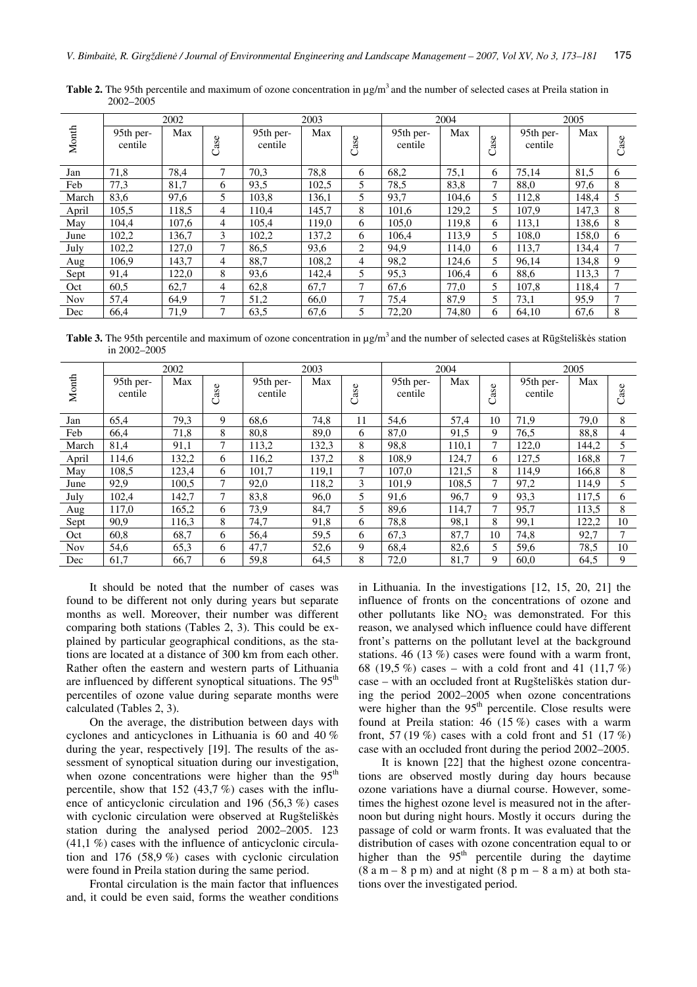|            | 2002                 |       |      | 2003                 |       |                | 2004                 |       |      | 2005                 |       |        |
|------------|----------------------|-------|------|----------------------|-------|----------------|----------------------|-------|------|----------------------|-------|--------|
| Month      | 95th per-<br>centile | Max   | Case | 95th per-<br>centile | Max   | Case           | 95th per-<br>centile | Max   | Case | 95th per-<br>centile | Max   | Case   |
| Jan        | 71,8                 | 78,4  | 7    | 70,3                 | 78,8  | 6              | 68,2                 | 75,1  | 6    | 75,14                | 81,5  | 6      |
| Feb        | 77,3                 | 81,7  | 6    | 93,5                 | 102,5 | 5              | 78,5                 | 83,8  | 7    | 88,0                 | 97,6  | 8      |
| March      | 83,6                 | 97,6  | 5    | 103,8                | 136,1 | 5              | 93,7                 | 104,6 | 5    | 112,8                | 148,4 | 5      |
| April      | 105,5                | 118,5 | 4    | 110,4                | 145,7 | 8              | 101,6                | 129,2 | 5    | 107,9                | 147,3 | 8      |
| May        | 104.4                | 107,6 | 4    | 105.4                | 119,0 | 6              | 105.0                | 119,8 | 6    | 113,1                | 138,6 | 8      |
| June       | 102,2                | 136,7 | 3    | 102,2                | 137,2 | 6              | 106.4                | 113,9 | 5    | 108,0                | 158,0 | 6      |
| July       | 102,2                | 127,0 | 7    | 86,5                 | 93,6  | $\overline{2}$ | 94,9                 | 114.0 | 6    | 113,7                | 134,4 | 7      |
| Aug        | 106.9                | 143,7 | 4    | 88,7                 | 108.2 | 4              | 98,2                 | 124.6 | 5    | 96,14                | 134.8 | 9      |
| Sept       | 91,4                 | 122,0 | 8    | 93,6                 | 142,4 | 5              | 95,3                 | 106.4 | 6    | 88,6                 | 113,3 | $\tau$ |
| Oct        | 60,5                 | 62,7  | 4    | 62,8                 | 67,7  | 7              | 67,6                 | 77,0  | 5    | 107,8                | 118,4 | 7      |
| <b>Nov</b> | 57,4                 | 64,9  | 7    | 51,2                 | 66,0  | 7              | 75,4                 | 87,9  | 5    | 73,1                 | 95,9  | 7      |
| Dec        | 66,4                 | 71,9  | 7    | 63,5                 | 67,6  | 5              | 72,20                | 74,80 | 6    | 64.10                | 67,6  | 8      |

**Table 2.** The 95th percentile and maximum of ozone concentration in μg/m3 and the number of selected cases at Preila station in 2002–2005

**Table 3.** The 95th percentile and maximum of ozone concentration in μg/m3 and the number of selected cases at Rūgšteliškės station in 2002–2005

|            | 2002                 |       |      | 2003                 |       |      | 2004                 |       |      | 2005                 |       |      |
|------------|----------------------|-------|------|----------------------|-------|------|----------------------|-------|------|----------------------|-------|------|
| Month      | 95th per-<br>centile | Max   | Case | 95th per-<br>centile | Max   | Case | 95th per-<br>centile | Max   | Case | 95th per-<br>centile | Max   | Case |
| Jan        | 65,4                 | 79,3  | 9    | 68,6                 | 74,8  | 11   | 54,6                 | 57,4  | 10   | 71,9                 | 79,0  | 8    |
| Feb        | 66,4                 | 71,8  | 8    | 80.8                 | 89.0  | 6    | 87,0                 | 91,5  | 9    | 76,5                 | 88,8  | 4    |
| March      | 81,4                 | 91,1  | 7    | 113,2                | 132,3 | 8    | 98,8                 | 110,1 | 7    | 122,0                | 144,2 | 5    |
| April      | 114,6                | 132,2 | 6    | 116,2                | 137,2 | 8    | 108,9                | 124,7 | 6    | 127,5                | 168,8 |      |
| May        | 108,5                | 123,4 | 6    | 101,7                | 119,1 | 7    | 107,0                | 121,5 | 8    | 114,9                | 166.8 | 8    |
| June       | 92,9                 | 100.5 | 7    | 92,0                 | 118,2 | 3    | 101.9                | 108.5 | 7    | 97,2                 | 114,9 | 5    |
| July       | 102,4                | 142,7 | 7    | 83,8                 | 96,0  | 5    | 91,6                 | 96,7  | 9    | 93,3                 | 117,5 | 6    |
| Aug        | 117,0                | 165,2 | 6    | 73,9                 | 84,7  | 5.   | 89,6                 | 114,7 | 7    | 95,7                 | 113,5 | 8    |
| Sept       | 90,9                 | 116,3 | 8    | 74,7                 | 91,8  | 6    | 78,8                 | 98,1  | 8    | 99,1                 | 122,2 | 10   |
| Oct        | 60,8                 | 68,7  | 6    | 56,4                 | 59,5  | 6    | 67,3                 | 87,7  | 10   | 74,8                 | 92,7  | 7    |
| <b>Nov</b> | 54,6                 | 65,3  | 6    | 47,7                 | 52,6  | 9    | 68,4                 | 82,6  | 5    | 59,6                 | 78,5  | 10   |
| Dec        | 61,7                 | 66,7  | 6    | 59,8                 | 64,5  | 8    | 72,0                 | 81,7  | 9    | 60,0                 | 64,5  | 9    |

It should be noted that the number of cases was found to be different not only during years but separate months as well. Moreover, their number was different comparing both stations (Tables 2, 3). This could be explained by particular geographical conditions, as the stations are located at a distance of 300 km from each other. Rather often the eastern and western parts of Lithuania are influenced by different synoptical situations. The  $95<sup>th</sup>$ percentiles of ozone value during separate months were calculated (Tables 2, 3).

On the average, the distribution between days with cyclones and anticyclones in Lithuania is 60 and 40 % during the year, respectively [19]. The results of the assessment of synoptical situation during our investigation, when ozone concentrations were higher than the 95<sup>th</sup> percentile, show that 152 (43,7 %) cases with the influence of anticyclonic circulation and 196 (56,3 %) cases with cyclonic circulation were observed at Rugšteliškės station during the analysed period 2002–2005. 123  $(41, 1\%)$  cases with the influence of anticyclonic circulation and 176 (58,9 %) cases with cyclonic circulation were found in Preila station during the same period.

Frontal circulation is the main factor that influences and, it could be even said, forms the weather conditions in Lithuania. In the investigations [12, 15, 20, 21] the influence of fronts on the concentrations of ozone and other pollutants like  $NO<sub>2</sub>$  was demonstrated. For this reason, we analysed which influence could have different front's patterns on the pollutant level at the background stations. 46 (13 %) cases were found with a warm front, 68 (19,5 %) cases – with a cold front and 41 (11,7 %) case – with an occluded front at Rugšteliškės station during the period 2002–2005 when ozone concentrations were higher than the 95<sup>th</sup> percentile. Close results were found at Preila station: 46 (15 %) cases with a warm front, 57 (19 %) cases with a cold front and 51 (17 %) case with an occluded front during the period 2002–2005.

It is known [22] that the highest ozone concentrations are observed mostly during day hours because ozone variations have a diurnal course. However, sometimes the highest ozone level is measured not in the afternoon but during night hours. Mostly it occurs during the passage of cold or warm fronts. It was evaluated that the distribution of cases with ozone concentration equal to or higher than the  $95<sup>th</sup>$  percentile during the daytime  $(8 a m - 8 p m)$  and at night  $(8 p m - 8 a m)$  at both stations over the investigated period.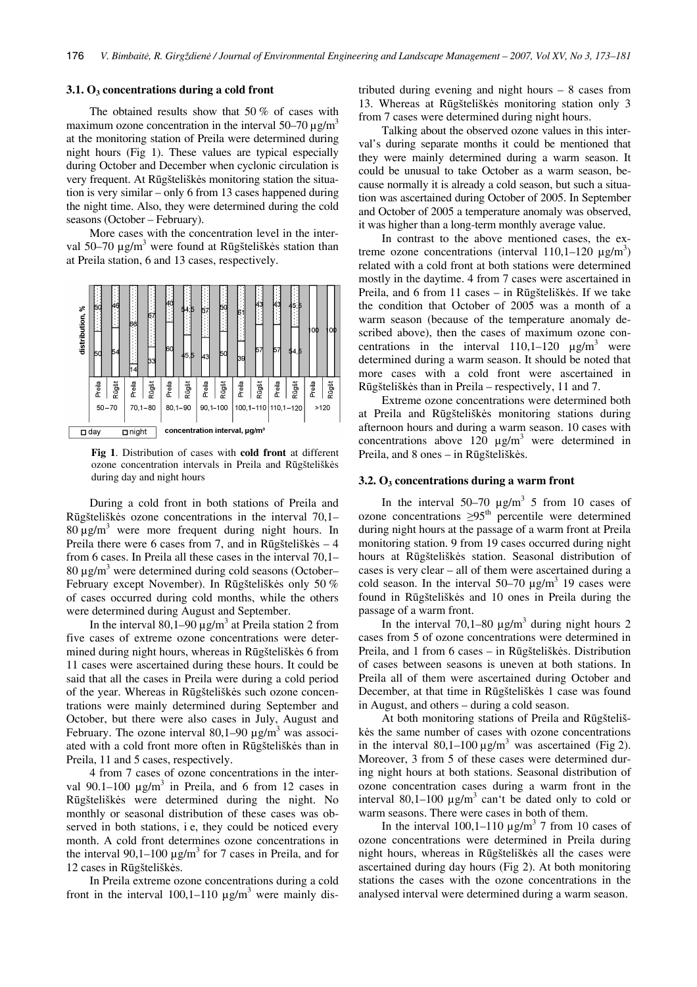#### **3.1. O3 concentrations during a cold front**

The obtained results show that 50 % of cases with maximum ozone concentration in the interval  $50-70 \mu g/m<sup>3</sup>$ at the monitoring station of Preila were determined during night hours (Fig 1). These values are typical especially during October and December when cyclonic circulation is very frequent. At Rūgšteliškės monitoring station the situation is very similar – only 6 from 13 cases happened during the night time. Also, they were determined during the cold seasons (October – February).

More cases with the concentration level in the interval 50–70  $\mu$ g/m<sup>3</sup> were found at Rūgšteliškės station than at Preila station, 6 and 13 cases, respectively.



**Fig 1**. Distribution of cases with **cold front** at different ozone concentration intervals in Preila and Rūgšteliškės during day and night hours

During a cold front in both stations of Preila and Rūgšteliškės ozone concentrations in the interval 70,1–  $80 \mu g/m<sup>3</sup>$  were more frequent during night hours. In Preila there were 6 cases from 7, and in Rūgšteliškės – 4 from 6 cases. In Preila all these cases in the interval 70,1– 80 μg/m<sup>3</sup> were determined during cold seasons (October– February except November). In Rūgšteliškės only 50 % of cases occurred during cold months, while the others were determined during August and September.

In the interval  $80,1-90 \mu g/m^3$  at Preila station 2 from five cases of extreme ozone concentrations were determined during night hours, whereas in Rūgšteliškės 6 from 11 cases were ascertained during these hours. It could be said that all the cases in Preila were during a cold period of the year. Whereas in Rūgšteliškės such ozone concentrations were mainly determined during September and October, but there were also cases in July, August and February. The ozone interval  $80,1-90 \mu g/m^3$  was associated with a cold front more often in Rūgšteliškės than in Preila, 11 and 5 cases, respectively.

4 from 7 cases of ozone concentrations in the interval 90.1–100  $\mu$ g/m<sup>3</sup> in Preila, and 6 from 12 cases in Rūgšteliškės were determined during the night. No monthly or seasonal distribution of these cases was observed in both stations, i e, they could be noticed every month. A cold front determines ozone concentrations in the interval  $90,1-100 \mu g/m^3$  for 7 cases in Preila, and for 12 cases in Rūgšteliškės.

In Preila extreme ozone concentrations during a cold front in the interval  $100,1-110 \mu g/m^3$  were mainly distributed during evening and night hours – 8 cases from 13. Whereas at Rūgšteliškės monitoring station only 3 from 7 cases were determined during night hours.

Talking about the observed ozone values in this interval's during separate months it could be mentioned that they were mainly determined during a warm season. It could be unusual to take October as a warm season, because normally it is already a cold season, but such a situation was ascertained during October of 2005. In September and October of 2005 a temperature anomaly was observed, it was higher than a long-term monthly average value.

In contrast to the above mentioned cases, the extreme ozone concentrations (interval  $110,1-120 \mu g/m^3$ ) related with a cold front at both stations were determined mostly in the daytime. 4 from 7 cases were ascertained in Preila, and 6 from 11 cases – in Rūgšteliškės. If we take the condition that October of 2005 was a month of a warm season (because of the temperature anomaly described above), then the cases of maximum ozone concentrations in the interval  $110,1-120$   $\mu$ g/m<sup>3</sup> were determined during a warm season. It should be noted that more cases with a cold front were ascertained in Rūgšteliškės than in Preila – respectively, 11 and 7.

Extreme ozone concentrations were determined both at Preila and Rūgšteliškės monitoring stations during afternoon hours and during a warm season. 10 cases with concentrations above  $120 \text{ }\mu\text{g/m}^3$  were determined in Preila, and 8 ones – in Rūgšteliškės.

# **3.2. O3 concentrations during a warm front**

In the interval  $50-70 \mu g/m^3$  5 from 10 cases of ozone concentrations  $\geq 95$ <sup>th</sup> percentile were determined during night hours at the passage of a warm front at Preila monitoring station. 9 from 19 cases occurred during night hours at Rūgšteliškės station. Seasonal distribution of cases is very clear – all of them were ascertained during a cold season. In the interval  $50-70 \mu g/m^3$  19 cases were found in Rūgšteliškės and 10 ones in Preila during the passage of a warm front.

In the interval  $70,1-80 \mu g/m^3$  during night hours 2 cases from 5 of ozone concentrations were determined in Preila, and 1 from 6 cases – in Rūgšteliškės. Distribution of cases between seasons is uneven at both stations. In Preila all of them were ascertained during October and December, at that time in Rūgšteliškės 1 case was found in August, and others – during a cold season.

At both monitoring stations of Preila and Rūgšteliškės the same number of cases with ozone concentrations in the interval  $80,1-100 \mu g/m^3$  was ascertained (Fig 2). Moreover, 3 from 5 of these cases were determined during night hours at both stations. Seasonal distribution of ozone concentration cases during a warm front in the interval  $80,1-100 \mu g/m^3$  can't be dated only to cold or warm seasons. There were cases in both of them.

In the interval  $100,1-110 \mu g/m^3$  7 from 10 cases of ozone concentrations were determined in Preila during night hours, whereas in Rūgšteliškės all the cases were ascertained during day hours (Fig 2). At both monitoring stations the cases with the ozone concentrations in the analysed interval were determined during a warm season.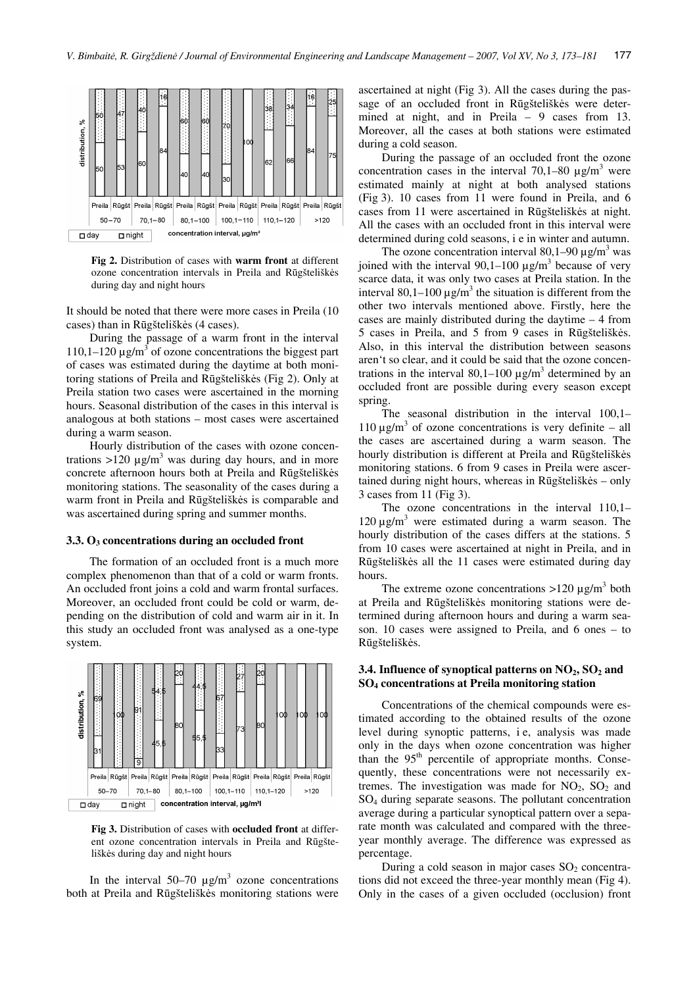

**Fig 2.** Distribution of cases with **warm front** at different ozone concentration intervals in Preila and Rūgšteliškės during day and night hours

It should be noted that there were more cases in Preila (10 cases) than in Rūgšteliškės (4 cases).

During the passage of a warm front in the interval 110,1–120 μg/m<sup>3</sup> of ozone concentrations the biggest part of cases was estimated during the daytime at both monitoring stations of Preila and Rūgšteliškės (Fig 2). Only at Preila station two cases were ascertained in the morning hours. Seasonal distribution of the cases in this interval is analogous at both stations – most cases were ascertained during a warm season.

Hourly distribution of the cases with ozone concentrations  $>120 \mu g/m^3$  was during day hours, and in more concrete afternoon hours both at Preila and Rūgšteliškės monitoring stations. The seasonality of the cases during a warm front in Preila and Rūgšteliškės is comparable and was ascertained during spring and summer months.

#### **3.3. O3 concentrations during an occluded front**

The formation of an occluded front is a much more complex phenomenon than that of a cold or warm fronts. An occluded front joins a cold and warm frontal surfaces. Moreover, an occluded front could be cold or warm, depending on the distribution of cold and warm air in it. In this study an occluded front was analysed as a one-type system.



**Fig 3.** Distribution of cases with **occluded front** at different ozone concentration intervals in Preila and Rūgšteliškės during day and night hours

In the interval  $50-70 \mu g/m^3$  ozone concentrations both at Preila and Rūgšteliškės monitoring stations were

ascertained at night (Fig 3). All the cases during the passage of an occluded front in Rūgšteliškės were determined at night, and in Preila – 9 cases from 13. Moreover, all the cases at both stations were estimated during a cold season.

During the passage of an occluded front the ozone concentration cases in the interval  $70,1-80 \mu g/m^3$  were estimated mainly at night at both analysed stations (Fig 3). 10 cases from 11 were found in Preila, and 6 cases from 11 were ascertained in Rūgšteliškės at night. All the cases with an occluded front in this interval were determined during cold seasons, i e in winter and autumn.

The ozone concentration interval  $80,1-90 \mu g/m^3$  was joined with the interval  $90,1-100 \mu g/m^3$  because of very scarce data, it was only two cases at Preila station. In the interval 80,1–100  $\mu$ g/m<sup>3</sup> the situation is different from the other two intervals mentioned above. Firstly, here the cases are mainly distributed during the daytime – 4 from 5 cases in Preila, and 5 from 9 cases in Rūgšteliškės. Also, in this interval the distribution between seasons aren't so clear, and it could be said that the ozone concentrations in the interval 80,1–100  $\mu$ g/m<sup>3</sup> determined by an occluded front are possible during every season except spring.

The seasonal distribution in the interval 100,1– 110 μg/m<sup>3</sup> of ozone concentrations is very definite – all the cases are ascertained during a warm season. The hourly distribution is different at Preila and Rūgšteliškės monitoring stations. 6 from 9 cases in Preila were ascertained during night hours, whereas in Rūgšteliškės – only 3 cases from 11 (Fig 3).

The ozone concentrations in the interval 110,1–  $120 \mu g/m^3$  were estimated during a warm season. The hourly distribution of the cases differs at the stations. 5 from 10 cases were ascertained at night in Preila, and in Rūgšteliškės all the 11 cases were estimated during day hours.

The extreme ozone concentrations  $>120 \mu g/m^3$  both at Preila and Rūgšteliškės monitoring stations were determined during afternoon hours and during a warm season. 10 cases were assigned to Preila, and 6 ones – to Rūgšteliškės.

# 3.4. Influence of synoptical patterns on NO<sub>2</sub>, SO<sub>2</sub> and **SO4 concentrations at Preila monitoring station**

Concentrations of the chemical compounds were estimated according to the obtained results of the ozone level during synoptic patterns, i e, analysis was made only in the days when ozone concentration was higher than the  $95<sup>th</sup>$  percentile of appropriate months. Consequently, these concentrations were not necessarily extremes. The investigation was made for  $NO<sub>2</sub>$ ,  $SO<sub>2</sub>$  and SO4 during separate seasons. The pollutant concentration average during a particular synoptical pattern over a separate month was calculated and compared with the threeyear monthly average. The difference was expressed as percentage.

During a cold season in major cases  $SO<sub>2</sub>$  concentrations did not exceed the three-year monthly mean (Fig 4). Only in the cases of a given occluded (occlusion) front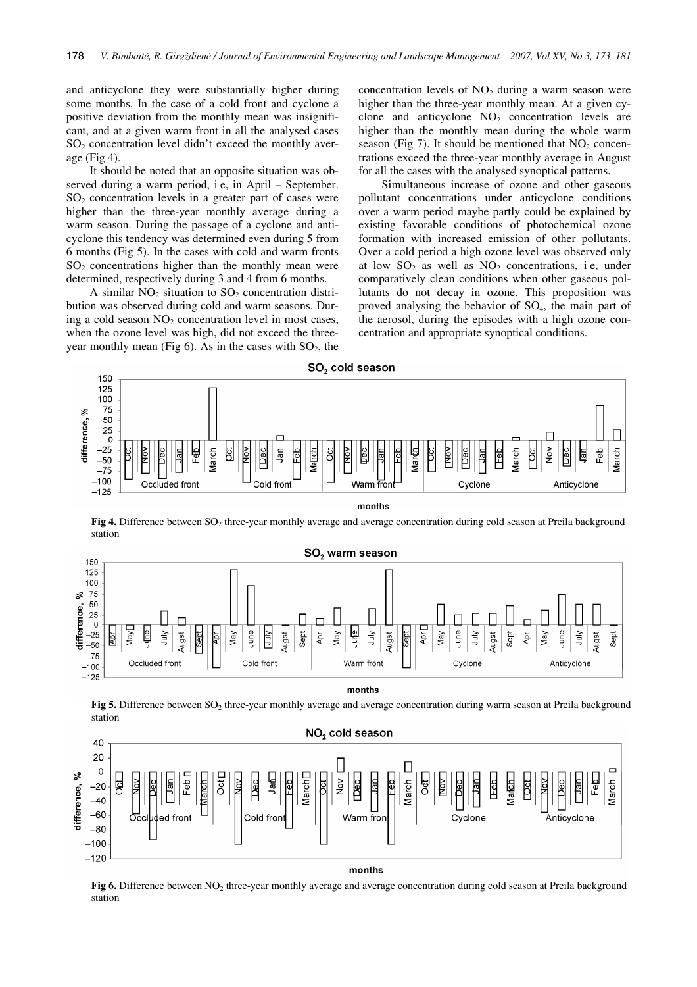and anticyclone they were substantially higher during some months. In the case of a cold front and cyclone a positive deviation from the monthly mean was insignificant, and at a given warm front in all the analysed cases  $SO<sub>2</sub>$  concentration level didn't exceed the monthly average (Fig 4).

It should be noted that an opposite situation was observed during a warm period, i e, in April – September. SO2 concentration levels in a greater part of cases were higher than the three-year monthly average during a warm season. During the passage of a cyclone and anticyclone this tendency was determined even during 5 from 6 months (Fig 5). In the cases with cold and warm fronts  $SO<sub>2</sub>$  concentrations higher than the monthly mean were determined, respectively during 3 and 4 from 6 months.

A similar  $NO<sub>2</sub>$  situation to  $SO<sub>2</sub>$  concentration distribution was observed during cold and warm seasons. During a cold season  $NO<sub>2</sub>$  concentration level in most cases, when the ozone level was high, did not exceed the threeyear monthly mean (Fig 6). As in the cases with  $SO_2$ , the concentration levels of  $NO<sub>2</sub>$  during a warm season were higher than the three-year monthly mean. At a given cyclone and anticyclone  $NO<sub>2</sub>$  concentration levels are higher than the monthly mean during the whole warm season (Fig 7). It should be mentioned that  $NO<sub>2</sub>$  concentrations exceed the three-year monthly average in August for all the cases with the analysed synoptical patterns.

Simultaneous increase of ozone and other gaseous pollutant concentrations under anticyclone conditions over a warm period maybe partly could be explained by existing favorable conditions of photochemical ozone formation with increased emission of other pollutants. Over a cold period a high ozone level was observed only at low  $SO_2$  as well as  $NO_2$  concentrations, i.e., under comparatively clean conditions when other gaseous pollutants do not decay in ozone. This proposition was proved analysing the behavior of  $SO_4$ , the main part of the aerosol, during the episodes with a high ozone concentration and appropriate synoptical conditions.



**Fig 4.** Difference between SO<sub>2</sub> three-year monthly average and average concentration during cold season at Preila background station



months

**Fig 5.** Difference between SO<sub>2</sub> three-year monthly average and average concentration during warm season at Preila background station



Fig 6. Difference between NO<sub>2</sub> three-year monthly average and average concentration during cold season at Preila background station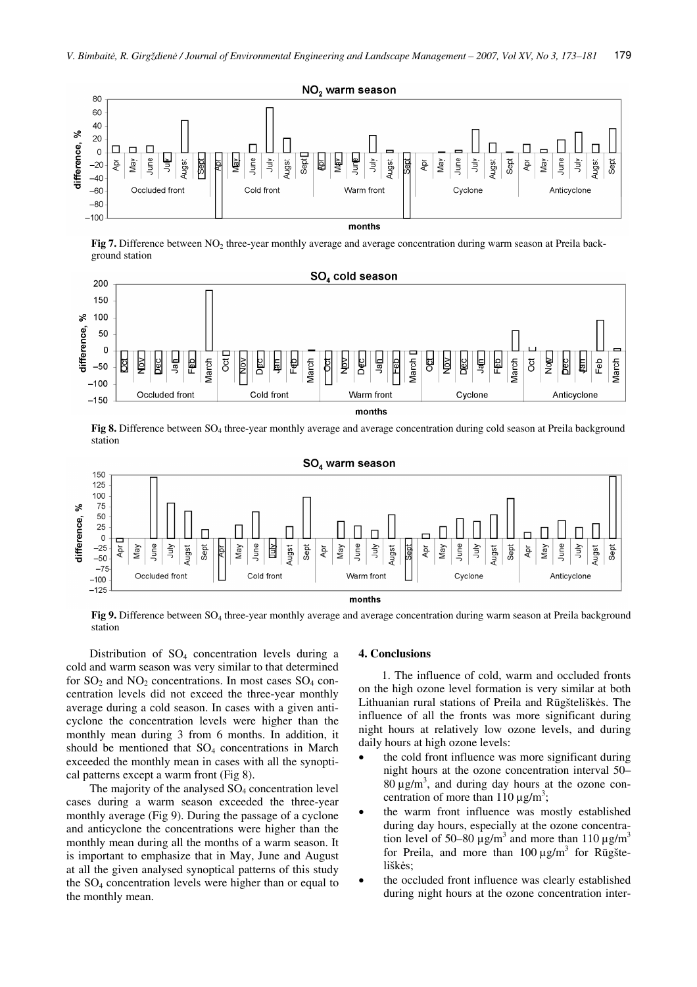

**Fig 7.** Difference between NO<sub>2</sub> three-year monthly average and average concentration during warm season at Preila background station



**Fig 8.** Difference between SO<sub>4</sub> three-year monthly average and average concentration during cold season at Preila background station



**Fig 9.** Difference between SO<sub>4</sub> three-year monthly average and average concentration during warm season at Preila background station

Distribution of  $SO_4$  concentration levels during a cold and warm season was very similar to that determined for  $SO_2$  and  $NO_2$  concentrations. In most cases  $SO_4$  concentration levels did not exceed the three-year monthly average during a cold season. In cases with a given anticyclone the concentration levels were higher than the monthly mean during 3 from 6 months. In addition, it should be mentioned that  $SO_4$  concentrations in March exceeded the monthly mean in cases with all the synoptical patterns except a warm front (Fig 8).

The majority of the analysed  $SO<sub>4</sub>$  concentration level cases during a warm season exceeded the three-year monthly average (Fig 9). During the passage of a cyclone and anticyclone the concentrations were higher than the monthly mean during all the months of a warm season. It is important to emphasize that in May, June and August at all the given analysed synoptical patterns of this study the SO4 concentration levels were higher than or equal to the monthly mean.

#### **4. Conclusions**

1. The influence of cold, warm and occluded fronts on the high ozone level formation is very similar at both Lithuanian rural stations of Preila and Rūgšteliškės. The influence of all the fronts was more significant during night hours at relatively low ozone levels, and during daily hours at high ozone levels:

- the cold front influence was more significant during night hours at the ozone concentration interval 50–  $80 \mu g/m<sup>3</sup>$ , and during day hours at the ozone concentration of more than  $110 \mu g/m^3$ ;
- • the warm front influence was mostly established during day hours, especially at the ozone concentration level of 50–80  $\mu$ g/m<sup>3</sup> and more than 110  $\mu$ g/m<sup>3</sup> for Preila, and more than  $100 \mu g/m^3$  for Rugšteliškės;
- • the occluded front influence was clearly established during night hours at the ozone concentration inter-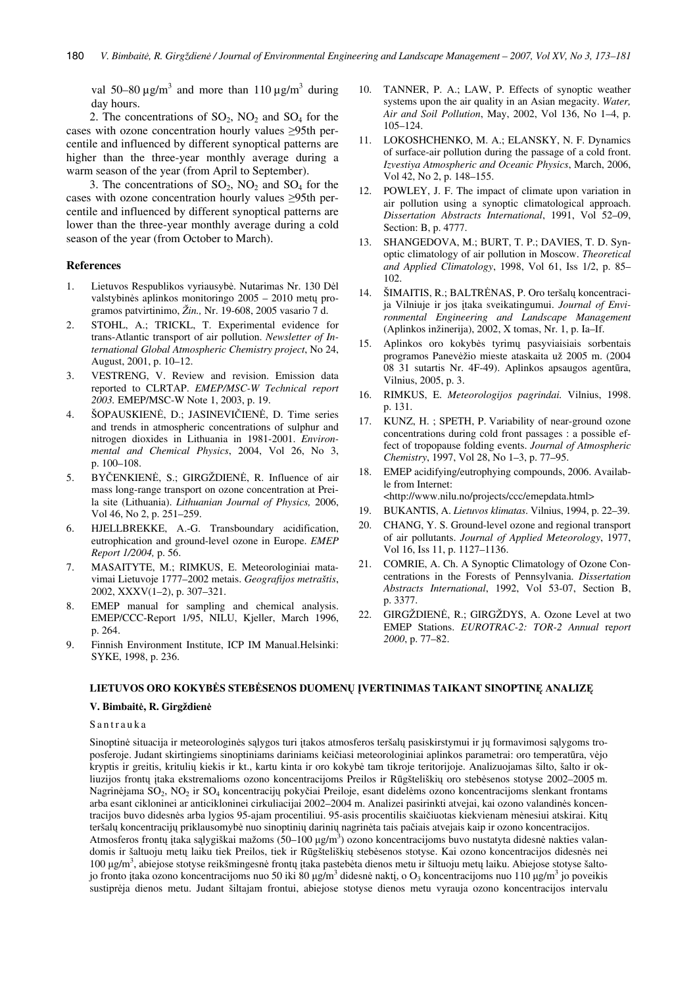val 50–80  $\mu$ g/m<sup>3</sup> and more than 110  $\mu$ g/m<sup>3</sup> during day hours.

2. The concentrations of  $SO_2$ ,  $NO_2$  and  $SO_4$  for the cases with ozone concentration hourly values ≥95th percentile and influenced by different synoptical patterns are higher than the three-year monthly average during a warm season of the year (from April to September).

3. The concentrations of  $SO_2$ ,  $NO_2$  and  $SO_4$  for the cases with ozone concentration hourly values ≥95th percentile and influenced by different synoptical patterns are lower than the three-year monthly average during a cold season of the year (from October to March).

#### **References**

- 1. Lietuvos Respublikos vyriausybė. Nutarimas Nr. 130 Dėl valstybinės aplinkos monitoringo 2005 – 2010 metų programos patvirtinimo, *Žin.,* Nr. 19-608, 2005 vasario 7 d.
- 2. STOHL, A.; TRICKL, T. Experimental evidence for trans-Atlantic transport of air pollution. *Newsletter of International Global Atmospheric Chemistry project*, No 24, August, 2001, p. 10–12.
- 3. VESTRENG, V. Review and revision. Emission data reported to CLRTAP. *EMEP/MSC-W Technical report 2003.* EMEP/MSC-W Note 1, 2003, p. 19.
- 4. ŠOPAUSKIENĖ, D.; JASINEVIČIENĖ, D. Time series and trends in atmospheric concentrations of sulphur and nitrogen dioxides in Lithuania in 1981-2001. *Environmental and Chemical Physics*, 2004, Vol 26, No 3, p. 100–108.
- 5. BYČENKIENĖ, S.; GIRGŽDIENĖ, R. Influence of air mass long-range transport on ozone concentration at Preila site (Lithuania). *Lithuanian Journal of Physics,* 2006, Vol 46, No 2, p. 251–259.
- 6. HJELLBREKKE, A.-G. Transboundary acidification, eutrophication and ground-level ozone in Europe. *EMEP Report 1/2004,* p. 56.
- 7. MASAITYTE, M.; RIMKUS, E. Meteorologiniai matavimai Lietuvoje 1777–2002 metais. *Geografijos metraštis*, 2002, XXXV(1–2), p. 307–321.
- 8. EMEP manual for sampling and chemical analysis. EMEP/CCC-Report 1/95, NILU, Kjeller, March 1996, p. 264.
- 9. Finnish Environment Institute, ICP IM Manual.Helsinki: SYKE, 1998, p. 236.
- 10. TANNER, P. A.; LAW, P. Effects of synoptic weather systems upon the air quality in an Asian megacity. *Water, Air and Soil Pollution*, May, 2002, Vol 136, No 1–4, p. 105–124.
- 11. LOKOSHCHENKO, M. A.; ELANSKY, N. F. Dynamics of surface-air pollution during the passage of a cold front. *Izvestiya Atmospheric and Oceanic Physics*, March, 2006, Vol 42, No 2, p. 148–155.
- 12. POWLEY, J. F. The impact of climate upon variation in air pollution using a synoptic climatological approach. *Dissertation Abstracts International*, 1991, Vol 52–09, Section: B, p. 4777.
- 13. SHANGEDOVA, M.; BURT, T. P.; DAVIES, T. D. Synoptic climatology of air pollution in Moscow. *Theoretical and Applied Climatology*, 1998, Vol 61, Iss 1/2, p. 85– 102.
- 14. ŠIMAITIS, R.; BALTRĖNAS, P. Oro teršalų koncentracija Vilniuje ir jos įtaka sveikatingumui. *Journal of Environmental Engineering and Landscape Management*  (Aplinkos inžinerija), 2002, X tomas, Nr. 1, p. Ia–If.
- 15. Aplinkos oro kokybės tyrimų pasyviaisiais sorbentais programos Panevėžio mieste ataskaita už 2005 m. (2004 08 31 sutartis Nr. 4F-49). Aplinkos apsaugos agentūra, Vilnius, 2005, p. 3.
- 16. RIMKUS, E. *Meteorologijos pagrindai.* Vilnius, 1998. p. 131.
- 17. KUNZ, H. ; SPETH, P. Variability of near-ground ozone concentrations during cold front passages : a possible effect of tropopause folding events. *Journal of Atmospheric Chemistry*, 1997, Vol 28, No 1–3, p. 77–95.
- 18. EMEP acidifying/eutrophying compounds, 2006. Available from Internet: <http://www.nilu.no/projects/ccc/emepdata.html>

19. BUKANTIS, A. *Lietuvos klimatas*. Vilnius, 1994, p. 22–39.

- 
- 20. CHANG, Y. S. Ground-level ozone and regional transport of air pollutants. *Journal of Applied Meteorology*, 1977, Vol 16, Iss 11, p. 1127–1136.
- 21. COMRIE, A. Ch. A Synoptic Climatology of Ozone Concentrations in the Forests of Pennsylvania. *Dissertation Abstracts International*, 1992, Vol 53-07, Section B, p. 3377.
- 22. GIRGŽDIENĖ, R.; GIRGŽDYS, A. Ozone Level at two EMEP Stations. *EUROTRAC-2: TOR-2 Annual* re*port 2000*, p. 77–82.

## **LIETUVOS ORO KOKYB**Ė**S STEB**Ė**SENOS DUOMEN**Ų Į**VERTINIMAS TAIKANT SINOPTIN**Ę **ANALIZ**Ę

#### **V. Bimbait**ė**, R. Girgždien**ė

# Santrauka

Sinoptinė situacija ir meteorologinės sąlygos turi įtakos atmosferos teršalų pasiskirstymui ir jų formavimosi sąlygoms troposferoje. Judant skirtingiems sinoptiniams dariniams keičiasi meteorologiniai aplinkos parametrai: oro temperatūra, vėjo kryptis ir greitis, kritulių kiekis ir kt., kartu kinta ir oro kokybė tam tikroje teritorijoje. Analizuojamas šilto, šalto ir okliuzijos frontų įtaka ekstremalioms ozono koncentracijoms Preilos ir Rūgšteliškių oro stebėsenos stotyse 2002–2005 m. Nagrinėjama SO2, NO2 ir SO4 koncentracijų pokyčiai Preiloje, esant didelėms ozono koncentracijoms slenkant frontams arba esant cikloninei ar anticikloninei cirkuliacijai 2002–2004 m. Analizei pasirinkti atvejai, kai ozono valandinės koncentracijos buvo didesnės arba lygios 95-ajam procentiliui. 95-asis procentilis skaičiuotas kiekvienam mėnesiui atskirai. Kitų teršalų koncentracijų priklausomybė nuo sinoptinių darinių nagrinėta tais pačiais atvejais kaip ir ozono koncentracijos. Atmosferos frontų įtaka sąlygiškai mažoms (50–100 µg/m<sup>3</sup>) ozono koncentracijoms buvo nustatyta didesnė nakties valandomis ir šaltuoju metų laiku tiek Preilos, tiek ir Rūgšteliškių stebėsenos stotyse. Kai ozono koncentracijos didesnės nei 100 μg/m<sup>3</sup>, abiejose stotyse reikšmingesnė frontų įtaka pastebėta dienos metu ir šiltuoju metų laiku. Abiejose stotyse šaltojo fronto įtaka ozono koncentracijoms nuo 50 iki 80 μg/m<sup>3</sup> didesnė naktį, o O<sub>3</sub> koncentracijoms nuo 110 μg/m<sup>3</sup> jo poveikis sustiprėja dienos metu. Judant šiltajam frontui, abiejose stotyse dienos metu vyrauja ozono koncentracijos intervalu